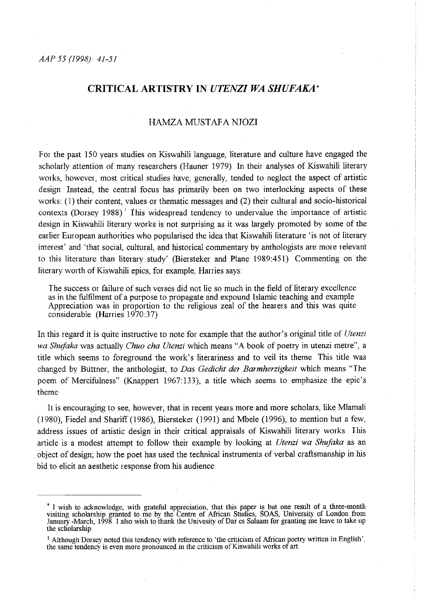# **CRITICAL ARTISTRY IN** *UTENZI WA SHUFAKA'*

# HAMZA MUSTAFA NJOZI

For the past !50 years studies on Kiswahili language, literature and culture have engaged the scholarly attention of many researchers (Hauner 1979) In their analyses of Kiswahili literary works, however, most critical studies have, generally, tended to neglect the aspect of artistic design Instead, the central focus has primarily been on two interlocking aspects of these works: (1) their content, values or thematic messages and (2) their cultural and socio-historical contexts (Dorsey 1988)' 1his widespread tendency to undervalue the importance of artistic design in Kiswahili literary works is not surprising as it was largely promoted by some of the earlier European authorities who popularised the idea that Kiswahili literature 'is not of literary interest' and 'that social, cultural, and historical commentary by anthologists are more relevant to this literature than literary study' (Biersteker and Plane 1989:451) Commenting on the literary worth of Kiswahili epics, for example, Harries says:

I he success or failure of such verses did not lie so much in the field of literary excellence as in the fulfilment of a purpose to propagate and expound Islamic teaching and example Appreciation was in proportion to the religious zeal of the hearers and this was quite considerable (Hanies 1970:37)

In this regard it is quite instructive to note for example that the author's original title of *Utenzi wa Shujaka* was actually *Chuo cha Utenzi* which means "A book of poetry in utenzi metre", a title which seems to foreground the work's literariness and to veil its theme This title was changed by Btittner, the anthologist, to *Das Gedicht der Bar mherzigkeit* which means "I he poem of Mercifulness" (Knappert 1967:133), a title which seems to emphasize the epic's theme

It is encouraging to see, however, that in recent years more and more scholars, like Mlamali (1980), Fiedel and Shariff(1986), Biersteker (1991) and Mbele (1996), to mention but a few, address issues of artistic design in their critical appraisals of Kiswahili literary works This article is a modest attempt to follow their example by looking at *Utenzi wa Shujaka* as an object of design; how the poet has used the technical instruments of verbal craftsmanshjp in his bid to elicit an aesthetic response from his audience

I wish to acknowledge, with grateful appreciation, that this paper is but one result of a three-month visiting scholarship granted to me by the Centre of African Stndies, SOAS, University of London from January -March, 1998. I also wish to thank the Univesity of Dar es Salaam for granting me leave to take up the scholarship

<sup>&</sup>lt;sup>1</sup> Although Dorsey noted this tendency with reference to 'the criticism of African poetry written in English', the same tendency is even more pronounced in the criticism of Kiswahili works of art.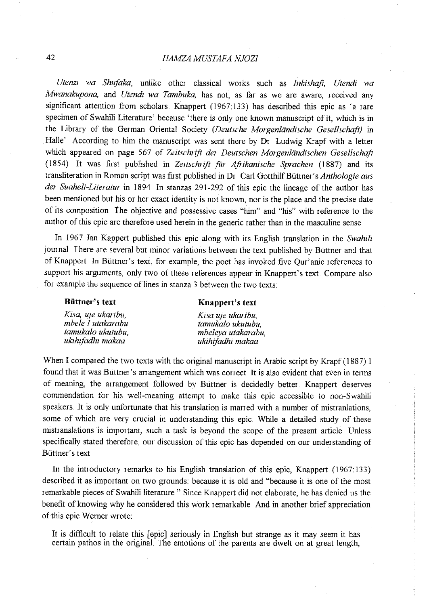# 42 *HAMZA MUSIAFA NJOZI*

*Utenz1 wa Shujaka,* unlike other classical works such as *Inkishafi, Utendi wa Mwanakupona,* and *Utendi wa Tambuka,* has not, as far as we are aware, received any significant attention from scholars Knappert (1967: 133) has described this epic as 'a rare specimen of Swahili Literature' because 'there is only one known manuscript of it, which is in the Library of the German Oriental Society *(Deutsche Morgenländische Gesellschaft)* in Halle' According to him the manuscript was sent there by Dr Ludwig Krapf with a letter which appeared on page 567 of *Zeitschrift der Deutschen Morgenländischen Gesellschaft* (1854) It was first published in *Zeitschrifl fiir Aftikanische Sprachen* (1887) and its transliteration in Roman script was first published in Dr Carl Gotthilf Büttner's *Anthologie aus der Suaheli-Literatur* in 1894 In stanzas 291-292 of this epic the lineage of the author has been mentioned but his or her exact identity is not known, nor is the place and the precise date of its composition I he objective and possessive cases "him" and "his" with reference to the author of this epic are therefore used herein in the generic rather than in the masculine sense

In 1967 Jan Kappert published this epic along with its English translation in the *Swahili*  journal I here are several but minor variations between the text published by Buttner and that of Knappert In Buttner's text, for example, the poet has invoked five Qur'anic references to support his arguments, only two of these references appear in Knappert's text. Compare also for example the sequence of lines in stanza 3 between the two texts:

#### **Biittner''s text**

#### **Knappert's text**

| Kisa, uje ukaribu, | Kisa uje ukaribu,  |
|--------------------|--------------------|
| mbele I utakarabu  | tamukalo ukutubu.  |
| tamukalo ukutubu,  | mbeleya utakarabu, |
| ukihifadhi makaa   | ukihifadhi makaa   |

When I compared the two texts with the original manuscript in Arabic script by Krapf (1887) I found that it was Büttner's arrangement which was correct It is also evident that even in terms of meaning, the arrangement followed by Büttner is decidedly better. Knappert deserves commendation for his well-meaning attempt to make this epic accessible to non-Swahili speakers. It is only unfortunate that his translation is marred with a number of mistranlations, some of which are very crucial in understanding this epic While a detailed study of these mistranslations is important, such a task is beyond the scope of the present article Unless specifically stated therefore, our discussion of this epic has depended on our understanding of Büttner's text

In the introductory remarks to his English translation of this epic, Knappert (1967:133) described it as important on two grounds: because it is old and "because it is one of the most remarkable pieces of Swabili literature " Since Knappert did not elaborate, he has denied us the benefit of knowing why he considered this work remarkable And in another brief appreciation of this epic Werner wrote:

It is difficult to relate this [epic] seriously in English but strange as it may seem it has certain pathos in the original The emotions of the parents are dwelt on at great length,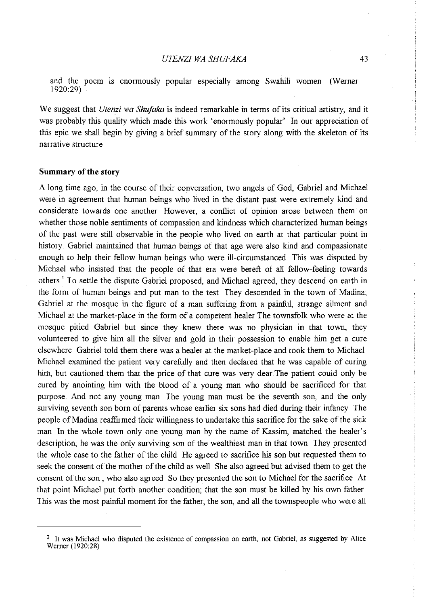and the poem is enormously popular especially among Swahili women (Werner 1920:29)

We suggest that *Utenzi wa Shufaka* is indeed remarkable in terms of its critical artistry, and it was probably this quality which made this work 'enormously popular' In our appreciation of this epic we shall begin by giving a brief summary of the story along with the skeleton of its narrative structure

#### **Summary of the story**

A long time ago, in the course of their conversation, two angels of God, Gabriel and Michael were in agreement that human beings who lived in the distant past were extremely kind and considerate towards one another However, a conflict of opinion arose between them on whether those noble sentiments of compassion and kindness which characterized human beings of the past were still observable in the people who lived on earth at that particular point in history Gabriel maintained that human beings of that age were also kind and compassionate enough to help their fellow human beings who were ill-circumstanced This was disputed by Michael who insisted that the people of that era were bereft of all fellow-feeling towards others<sup>2</sup> To settle the dispute Gabriel proposed, and Michael agreed, they descend on earth in the form of human beings and put man to the test They descended in the town of Madina; Gabriel at the mosque in the figure of a man suffering from a painful, strange ailment and Michael at the market-place in the form of a competent healer The townsfolk who were at the mosque pitied Gabriel but since they knew there was no physician in that town, they volunteered to give him all the silver and gold in their possession to enable him get a cure elsewhere Gabriel told them there was a healer at the market-place and took them to Michael Michael examined the patient very carefully and then declared that he was capable of curing him, but cautioned them that the price of that cure was very dear The patient could only be cured by anointing him with the blood of a young man who should be sacrificed for that purpose. And not any young man The young man must be the seventh son, and the only surviving seventh son born of parents whose earlier six sons had died during their infimcy The people of Madina reaffirmed their willingness to undertake this sacrifice for the sake of the sick man In the whole town only one young man by the name of Kassim, matched the healer's description; he was the only surviving son of the wealthiest man in that town I hey presented the whole case to the father of the child He agreed to sacrifice his son but requested them to seek the consent of the mother of the child as well She also agreed but advised them to get the consent of the son, who also agreed So they presented the son to Michael for the sacrifice At that point Michael put forth another condition; that the son must be killed by his own father 1 his was the most painful moment for the father, the son, and all the townspeople who were all

<sup>&</sup>lt;sup>2</sup> It was Michael who disputed the existence of compassion on earth, not Gabriel, as suggested by Alice Werner (1920:28)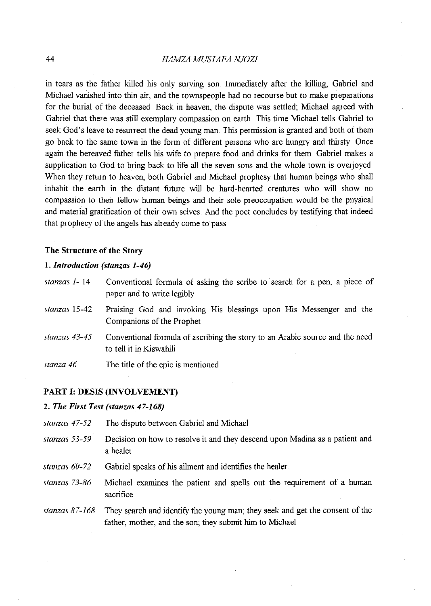# 44 *HAMZA MUSIAFA NJOZI*

in tears as the father killed his only surving son. Immediately after the killing, Gabriel and Michael vanished into thin air, and the townspeople had no recourse but to make preparations for the burial of the deceased Back in heaven, the dispute was settled; Michael agreed with Gabriel that there was still exemplary compassion on earth This time Michael tells Gabriel to seek God's leave to resurrect the dead young man. This permission is granted and both of them go back to the same town in the form of different persons who are hungry and thirsty Once again the bereaved father tells his wife to prepare food and drinks for them Gabriel makes a supplication to God to bring back to life all the seven sons and the whole town is overjoyed When they return to heaven, both Gabriel and Michael prophesy that human beings who shall inhabit the earth in the distant future will be hard-hearted creatures who will show no compassion to their fellow human beings and their sole preoccupation would be the physical and material gratification of their own selves. And the poet concludes by testifying that indeed that prophecy of the angels has already come to pass

#### **The Structure of the Story**

# **1..** *Introduction (stanzas 1-46)*

| stanzas 1-14 | Conventional formula of asking the scribe to search for a pen, a piece of |  |
|--------------|---------------------------------------------------------------------------|--|
|              | paper and to write legibly                                                |  |

- *stanzas* **15-42**  Praising God and invoking His blessings upon His Messenger and the Companions of the Prophet
- *stanzas 43-45*  Conventional formula of ascribing the story to an Arabic source and the need to tell it in Kiswahili
- *stanza 46*  The title of the epic is mentioned

# **PART 1: DESIS (INVOLVEMENT)**

# **2.** *The First Test (stanzas 47-168)*

- *stanzas 47-52* The dispute between Gabriel and Michael
- *stanzas 53-59* Decision on how to resolve it and they descend upon Madina as a patient and a healer
- *stanzas 60-72* Gabriel speaks of his ailment and identifies the healer
- *stanzas 73-86* Michael examines the patient and spells out the requirement of a human sacrifice
- stanzas 87-168 They search and identify the young man; they seek and get the consent of the father, mother, and the son; they submit him to Michael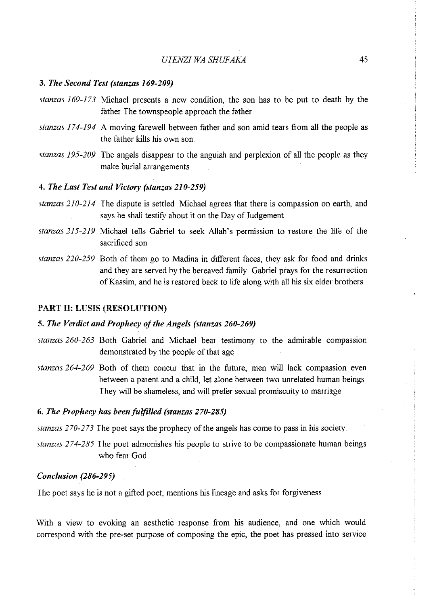# *UIENZI WA SHUFAKA* 45

# 3. *The Second Test (stanzas 169-209)*

- *stanzas I 69-173* Michael presents a new condition, the son has to be put to death by the father. The townspeople approach the father.
- *stanzas 174-194* A moving farewell between father and son amid tears from all the people as the father kills his own son
- *stanzas 195-209* The angels disappear to the anguish and perplexion of all the people as they make burial arrangements

#### 4. *The Last Test and Victory (stanzas 21 0-2.59)*

- *stanzas 210-214* The dispute is settled Michael agrees that there is compassion on earth, and says he shall testify about it on the Day of Judgement
- *stanzas 215-219* Michael tells Gabriel to seek Allah's permission to restore the life of the sacrificed son
- *stanzas 220-259* Both of them go to Madina in different faces, they ask for food and drinks and they are served by the bereaved family. Gabriel prays for the resurrection of Kassim, and he is restored back to life along with all his six elder brothers

# PART II: LUSIS (RESOLUTION)

#### 5 .. *The Verdict and Prophecy of the Angels (stanzas 260-269)*

- *stanzas 260-263* Both Gabriel and Michael bear testimony to the admirable compassion demonstrated by the people of that age
- *stanzas 264-269* Both of them concur that in the future, men will lack compassion even between a parent and a child, let alone between two unrelated human beings They will be shameless, and will prefer sexual promiscuity to maniage

#### 6 .. *The Prophecy has been fulfilled (stanzas 270-28.5)*

*stanzas 270-273* The poet says the prophecy of the angels has come to pass in his society

*stanzas 274-285* The poet admonishes his people to strive to be compassionate human beings who fear God

#### *Conclusion (286-29.5)*

I he poet says he is not a gifted poet, mentions his lineage and asks for forgiveness

With a view to evoking an aesthetic response from his audience, and one which would correspond with the pre-set purpose of composing the epic, the poet has pressed into service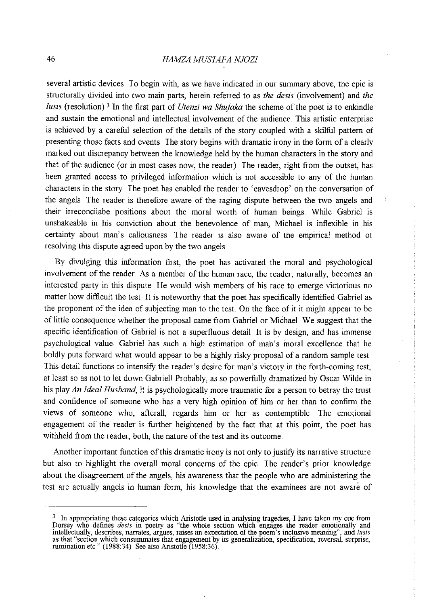# 46 *HAMZA MUSIAFA NJOZJ*

several artistic devices To begin with, as we have indicated in our summary above, the epic is structurally divided into two main parts, herein referred to as *the desis* (involvement) and *the lusis* (resolution) 3 In the first part of *Utenzi wa Shujaka* the scheme of the poet is to enkindle and sustain the emotional and intellectual involvement of the audience. This artistic enterprise is achieved by a careful selection of the details of the story coupled with a skilful pattern of presenting those facts and events I he story begins with dramatic irony in the form of a clearly marked out discrepancy between the knowledge held by the human characters in the story and that of the audience (or in most cases now, the reader) I he reader, right from the outset, has been granted access to privileged information which is not accessible to any of the human characters in the story The poet has enabled the reader to 'eavesdrop' on the conversation of the angels The reader is therefore aware of the raging dispute between the two angels and their irreconcilabe positions about the moral worth of human beings. While Gabriel is unshakeable in his conviction about the benevolence of man, Michael is inflexible in his certainty about man's callousness The reader is also aware of the empirical method of resolving this dispute agreed upon by the two angels

By divulging this information first, the poet has activated the moral and psychological involvement of the reader As a member of the human race, the reader, naturally, becomes an interested party in this dispute He would wish members of his race to emerge victorious no matter how difficult the test It is noteworthy that the poet has specifically identified Gabriel as the proponent of the idea of subjecting man to the test On the face of it it might appear to be of little consequence whether the proposal came from Gabriel or Michael. We suggest that the specific identification of Gabriel is not a superfluous detail It is by design, and has immense psychological value Gabriel has such a high estimation of man's moral excellence that he boldly puts forward what would appear to be a highly risky proposal of a random sample test This detail functions to intensify the reader's desire for man's victory in the forth-coming test, at least so as not to let down Gabriell Probably, as so powerfully dramatized by Oscar Wilde in his play *An Ideal Husband,* it is psychologically more traumatic for a person to betray the trust and confidence of someone who has a very high opinion of him or her than to confirm the views of someone who, afterall, regards him or her as contemptible The emotional engagement of the reader is further heightened by the fact that at this point, the poet has withheld from the reader, both, the nature of the test and its outcome

Another important function of this dramatic irony is not only to justify its narrative structure but also to highlight the overall moral concerns of the epic I he reader's prior knowledge about the disagreement of the angels, his awareness that the people who are administering the test are actually angels in human form, his knowledge that the examinees are not aware of

 $3\,$  In appropriating these categories which Aristotle used in analysing tragedies, I have taken my cue from Dorsey who defines *desis* in poetry as "the whole section which engages the reader emotionally and intellectually, describes, narrates, argues, raises an expectation of the poem's inclusive meaning", and *lusis*  as that "section which consummates that engagement by its generalization, specification, reversal, surprise, rumination etc" (1988:34) See also Aristotle (1958:36)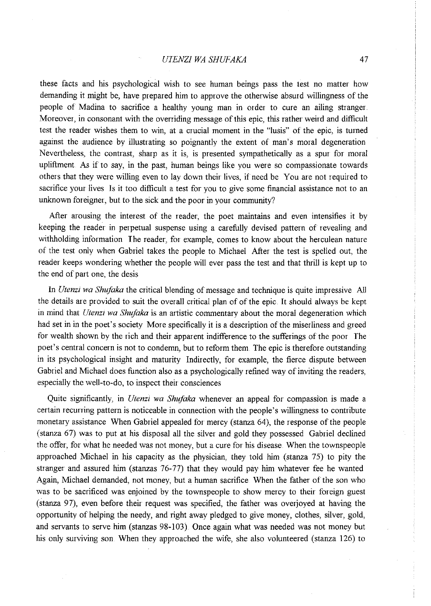these facts and his psychological wish to see human beings pass the test no matter how demanding it might be, have prepared him to approve the otherwise absurd willingness of the people of Madina to sacrifice a healthy young man in order to cure an ailing stranger Moreover, in consonant with the overriding message of this epic, this rather weird and difficult test the reader wishes them to win, at a crucial moment in the "lusis" of the epic, is turned against the audience by illustrating so poignantly the extent of man's moral degeneration Nevertheless, the contrast, sharp as it is, is presented sympathetically as a spur for moral upliftment As if to say, in the past, human beings like you were so compassionate towards others that they were willing even to lay down their lives, if need be You are not required to sacrifice your lives Is it too difficult a test for you to give some financial assistance not to an unknown foreigner, but to the sick and the poor in your community?

After arousing the interest of the reader, the poet maintains and even intensifies it by keeping the reader in perpetual suspense using a carefully devised pattern of revealing and withholding information The reader, for example, comes to know about the herculean nature of the test only when Gabriel takes the people to Michael After the test is spelled out, the reader keeps wondering whether the people will ever pass the test and that thrill is kept up to the end of part one, the desis

In *Utenzi wa Shufaka* the critical blending of message and technique is quite impressive All the details are provided to suit the overall critical plan of of the epic. It should always be kept in mind that *Utenzz wa Shvfaka* is an artistic commentary about the moral degeneration which had set in in the poet's society More specifically it is a description of the miserliness and greed for wealth shown by the rich and their apparent indifference to the sufferings of the poor The poet's central concern is not to condemn, but to reform them. The epic is therefore outstanding in its psychological insight and maturity Indirectly, for example, the fierce dispute between Gabriel and Michael does function also as a psychologically refined way of inviting the readers, especially the well-to-do, to inspect their consciences

Quite significantly, in *Utenzi wa Shujaka* whenever an appeal for compassion is made a certain recuning pattern is noticeable in connection with the people's willingness to contribute monetary assistance When Gabriel appealed for mercy (stanza 64), the response of the people (stanza 67) was to put at his disposal all the silver and gold they possessed Gabriel declined the offer, for what he needed was not money, but a cure for his disease. When the townspeople approached Michael in his capacity as the physician, they told him (stanza  $75$ ) to pity the stranger and assured him (stanzas 76-77) that they would pay him whatever fee he wanted Again, Michael demanded, not money, but a human sacrifice When the father of the son who was to be sacrificed was enjoined by the townspeople to show mercy to their foreign guest (stanza 97), even before their request was specified, the father was overjoyed at having the opportunity of helping the needy, and right away pledged to give money, clothes, silver, gold, and servants to serve him (stanzas 98-103) Once again what was needed was not money but his only surviving son. When they approached the wife, she also volunteered (stanza 126) to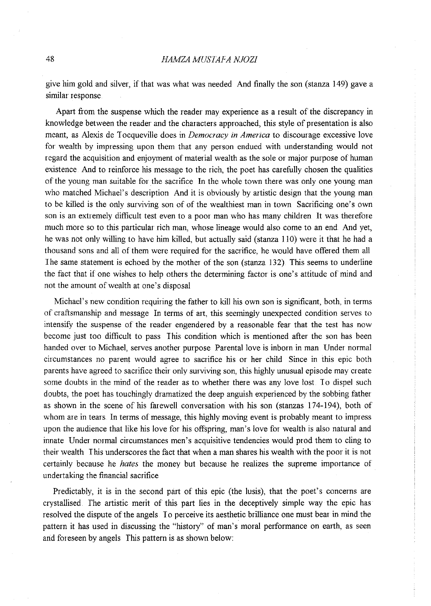give him gold and silver, if that was what was needed And finally the son (stanza 149) gave a similar response

Apart from the suspense which the reader may experience as a result of the discrepancy in knowledge between the reader and the characters approached, this style of presentation is also meant, as Alexis de I ocqueville does in *Democracy in America* to discourage excessive love for wealth by impressing upon them that any person endued with understanding would not regard the acquisition and enjoyment of material wealth as the sole or major purpose of human existence And to reinforce his message to the rich, the poet has carefully chosen the qualities of the young man suitable for the sacrifice In the whole town there was only one young man who matched Michael's description And it is obviously by artistic design that the young man to be killed is the only surviving son of of the wealthiest man in town Sacrificing one's own son is an extremely difficult test even to a poor man who has many children It was therefore much more so to this particular rich man, whose lineage would also come to an end And yet, he was not only willing to have him killed, but actually said (stanza 110) were it that he had a thousand sons and all of them were required for the sacrifice, he would have offered them all I he same statement is echoed by the mother of the son (stanza 132) This seems to underline the fact that if one wishes to help others the determining factor is one's attitude of mind and not the amount of wealth at one's disposal

Michael's new condition requiring the father to kill his own son is significant, both, in terms of craftsmanship and message In terms of art, this seemingly unexpected condition serves to intensify the suspense of the reader engendered by a reasonable fear that the test has now become just too difficult to pass This condition which is mentioned after the son has been handed over to Michael, serves another purpose Parental love is inborn in man Under normal circumstances no parent would agree to sacrifice his or her child Since in this epic both parents have agreed to sacrifice their only surviving son, this highly unusual episode may create some doubts in the mind of the reader as to whether there was any love lost. To dispel such doubts, the poet has touchingly dramatized the deep anguish experienced by the sobbing father as shown in the scene of his farewell conversation with his son (stanzas 174-194), both of whom are in tears In terms of message, this highly moving event is probably meant to impress upon the audience that like his love for his offspring, man's love for wealth is also natural and innate Under normal circumstances men's acquisitive tendencies would prod them to cling to their wealth I his underscores the fact that when a man shares his wealth with the poor it is not certainly because he *hates* the money but because he realizes the supreme importance of undertaking the financial sacrifice

Predictably, it is in the second part of this epic (the lusis), that the poet's concerns are crystallised *The* artistic merit of this part lies in the deceptively simple way the epic has resolved the dispute of the angels I o perceive its aesthetic brilliance one must bear in mind the pattern it has used in discussing the "history" of man's moral performance on earth, as seen and foreseen by angels *This* pattern is as shown below: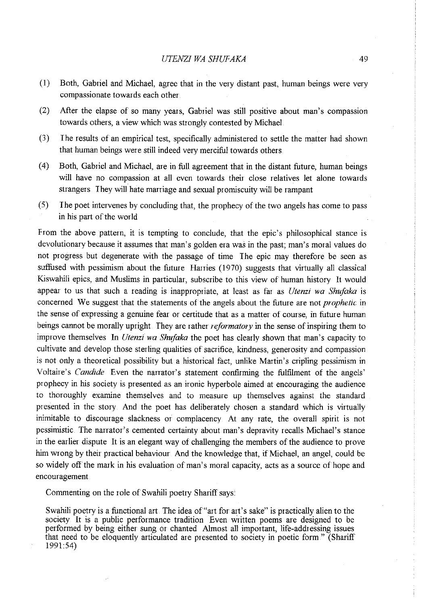- (I) Both, Gabriel and Michael, agree that in the very distant past, human beings were very compassionate towards each other
- (2) After the elapse of so many years, Gabriel was still positive about man's compassion towards others, a view which was strongly contested by Michael
- (3) The results of an empirical test, specifically administered to settle the matter had shown that human beings were still indeed very merciful towards others
- ( 4) Both, Gabriel and Michael, are in full agreement that in the distant future, human beings will have no compassion at all even towards their close relatives let alone towards strangers They will hate maniage and sexual promiscuity will be rampant
- (5) The poet intervenes by concluding that, the prophecy of the two angels has come to pass in his part of the world

From the above pattern, it is tempting to conclude, that the epic's philosophical stance is devolutionary because it assumes that man's golden era was in the past; man's moral values do not progress but degenerate with the passage of time I he epic may therefore be seen as suffused with pessimism about the future Hanies (1970) suggests that virtually all classical Kiswahili epics, and Muslims in particular, subscribe to this view of human history It would appear to us that such a reading is inappropriate, at least as far as *Utenzi wa Shufaka* is concerned We suggest that the statements of the angels about the future are not *prophetic* in the sense of expressing a genuine fear or certitude that as a matter of course, in future human beings cannot be morally upright They are rather *reformatory* in the sense of inspiring them to improve themselves In *Utenzi wa Shufaka* the poet has clearly shown that man's capacity to cultivate and develop those sterling qualities of sacrifice, kindness, generosity and compassion is not only a theoretical possibility but a historical fact, unlike Martin's cripling pessimism in Voltaire's *Candide* Even the nanator's statement confirming the fulfilment of the angels' prophecy in his society is presented as an ironic hyperbole aimed at encouraging the audience to thoroughly examine themselves and to measure up themselves against the standard presented in the story. And the poet has deliberately chosen a standard which is virtually inimitable to discourage slackness or complacency At any rate, the overall spirit is not pessimistic. The narrator's cemented certainty about man's depravity recalls Michael's stance in the earlier dispute It is an elegant way of challenging the members of the audience to prove him wrong by their practical behaviour. And the knowledge that, if Michael, an angel, could be so widely off the mark in his evaluation of man's moral capacity, acts as a source of hope and encouragement

Commenting on the role of Swahili poetry Shariff says:

Swahili poetry is a functional art. The idea of "art for art's sake" is practically alien to the society It is a public performance tradition Even written poems are designed to be performed by being either sung or chanted Almost all important, life-addressing issues that need to be eloquently articulated are presented to society in poetic form " (Shariff' 1991:54)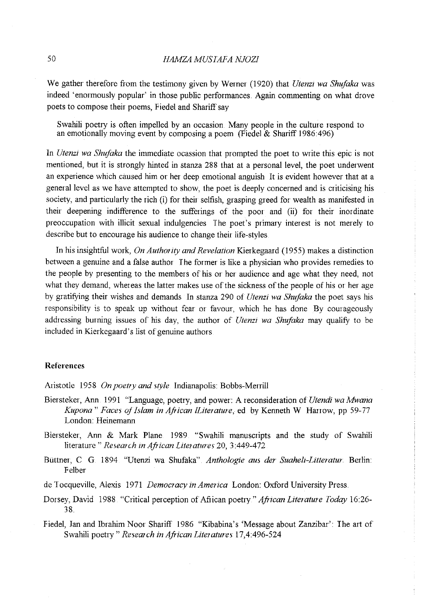# 50 *HAMZA MUSIAFA NJOZI*

We gather therefore from the testimony given by Werner (1920) that *Utenzi wa Shufaka* was indeed 'enormously popular' in those public performances. Again commenting on what drove poets to compose their poems, Fiedel and Shariff say

Swahili poetry is often impelled by an occasion Many people in the culture respond to an emotionally moving event by composing a poem (Fiedel  $& Shariff 1986:496$ )

In *Utenzi wa Shujaka* the immediate ocassion that prompted the poet to write this epic is not mentioned, but it is strongly hinted in stanza 288 that at a personal level, the poet underwent an experience which caused him or her deep emotional anguish It is evident however that at a general level as we have attempted to show, the poet is deeply concerned and is criticising his society, and particularly the rich (i) for their selfish, grasping greed for wealth as manifested in their deepening indifference to the sufferings of the poor and (ii) for their inordinate preoccupation with illicit sexual indulgencies I he poet's primary interest is not merely to describe but to encourage his audience to change their life-styles

In his insightful work, *On Authority and Revelation* Kierkegaard (1955) makes a distinction between a genuine and a false author The former is like a physician who provides remedies to the people by presenting to the members of his or her audience and age what they need, not what they demand, whereas the latter makes use of the sickness of the people of his or her age by gratifying their wishes and demands In stanza 290 of *Utenzi wa Shufaka* the poet says his responsibility is to speak up without fear or favour, which he has done By courageously addressing burning issues of his day, the author of *Utenzi wa Shufaka* may qualify to be included in Kierkegaard's list of genuine authors.

#### **References**

Aristotle 1958 *On poetry and style* Indianapolis: Bobbs-Merrill

- Biersteker, Ann 1991 "Language, poetry, and power: A reconsideration of *Utendi wa Mwana Kupona" Faces of Islam in African !Literature,* ed by Kenneth W Harrow, pp 59-77 London: Heinemann
- Biersteker, Ann & Mark Plane 1989 "Swahili manuscripts and the study of Swahili literature" *Research in African Literatures* 20, 3:449-472.
- Buttner, C G. 1894 "Utenzi wa Shufaka" *Anthologie aus der Suaheli-Litteratur* Berlin: Felber
- de 1 ocqueville, Alexis 1971 *Democracy in America* London: Oxford University Press
- Dorsey, David 1988 "Critical perception of African poetry" *African Literature Today* 16:26- 38
- Fiedel, Jan and Ibrahim Noor Shariff 1986 "Kibabina's 'Message about Zanzibar': The art of Swahili poetry" *Research in African Literatures* 17,4:496-524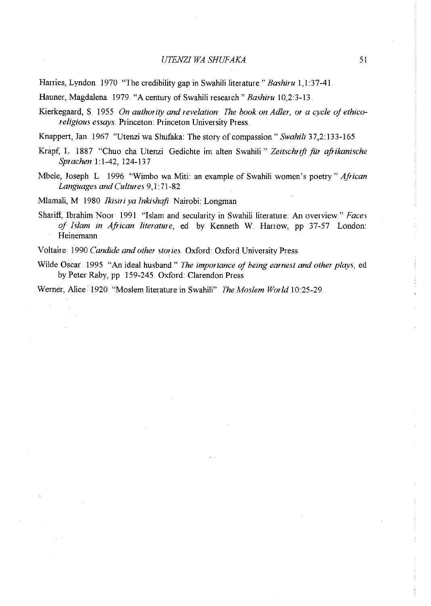### *UTENZI WA SHUFAKA*

Harries, Lyndon 1970 "The credibility gap in Swahili literature" *Bashiru* 1,1:37-41.

Hauner, Magdalena 1979. "A century of Swahili research" *Bashiru* 10,2:3-13.

- Kierkegaard, S. 1955. On authority and revelation: The book on Adler, or a cycle of ethico*religious essays.* Princeton: Princeton University Press.
- Knappert, Tan. 1967. "Utenzi wa Shufaka: The story of compassion" *Swahili* 37,2:133-165
- Krapf; L 1887 "Chuo cha Utenzi Gedichte im alten Swahili" *Zeitschrift fiir afrikanische Sprachen* 1:1-42, 124-137
- Mbele, Joseph L 1996 "Wimbo wa Miti: an example of Swahili women's poetry" *African Languages and Cultures* 9,1:71-82

Mlamali, M 1980 *lkisiri ya Inkishafi* Nairobi: Longman

Shariff, Ibrahim Noor 1991 "Islam and secularity in Swahili literature: An overview" *Faces of Islam in African literature,* ed by Kenneth W Harrow, pp 37-57 London: Heinemann

Voltaire 1990 *Candide and other stories.* Oxford: Oxford University Press

Wilde Oscar<sup>'</sup> 1995 "An ideal husband." *The importance of being earnest and other plays*, ed by Peter Raby, pp 159-245 Oxford: Clarendon Press

Wemer, Alice 1920 "Moslem literature in Swahili" *The Moslem World* 10:25-29